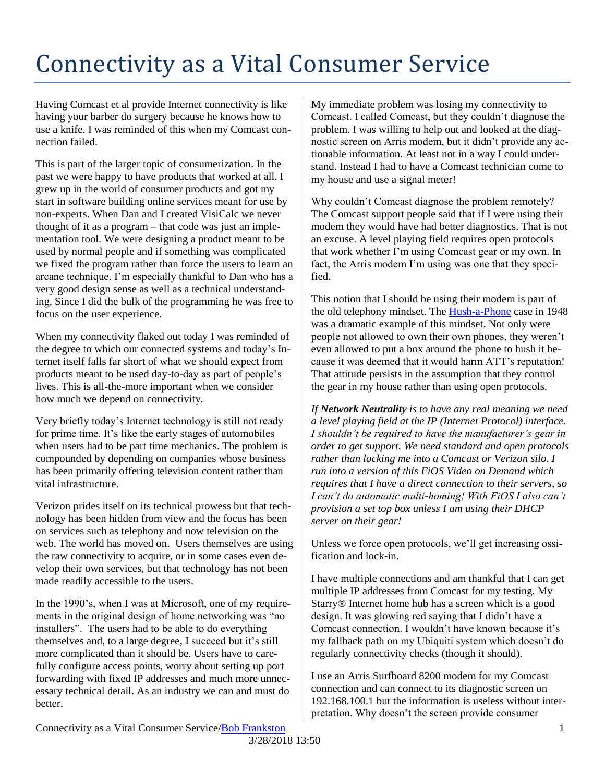## Connectivity as a Vital Consumer Service

Having Comcast et al provide Internet connectivity is like having your barber do surgery because he knows how to use a knife. I was reminded of this when my Comcast connection failed.

This is part of the larger topic of consumerization. In the past we were happy to have products that worked at all. I grew up in the world of consumer products and got my start in software building online services meant for use by non-experts. When Dan and I created VisiCalc we never thought of it as a program – that code was just an implementation tool. We were designing a product meant to be used by normal people and if something was complicated we fixed the program rather than force the users to learn an arcane technique. I'm especially thankful to Dan who has a very good design sense as well as a technical understanding. Since I did the bulk of the programming he was free to focus on the user experience.

When my connectivity flaked out today I was reminded of the degree to which our connected systems and today's Internet itself falls far short of what we should expect from products meant to be used day-to-day as part of people's lives. This is all-the-more important when we consider how much we depend on connectivity.

Very briefly today's Internet technology is still not ready for prime time. It's like the early stages of automobiles when users had to be part time mechanics. The problem is compounded by depending on companies whose business has been primarily offering television content rather than vital infrastructure.

Verizon prides itself on its technical prowess but that technology has been hidden from view and the focus has been on services such as telephony and now television on the web. The world has moved on. Users themselves are using the raw connectivity to acquire, or in some cases even develop their own services, but that technology has not been made readily accessible to the users.

In the 1990's, when I was at Microsoft, one of my requirements in the original design of home networking was "no installers". The users had to be able to do everything themselves and, to a large degree, I succeed but it's still more complicated than it should be. Users have to carefully configure access points, worry about setting up port forwarding with fixed IP addresses and much more unnecessary technical detail. As an industry we can and must do better.

My immediate problem was losing my connectivity to Comcast. I called Comcast, but they couldn't diagnose the problem. I was willing to help out and looked at the diagnostic screen on Arris modem, but it didn't provide any actionable information. At least not in a way I could understand. Instead I had to have a Comcast technician come to my house and use a signal meter!

Why couldn't Comcast diagnose the problem remotely? The Comcast support people said that if I were using their modem they would have had better diagnostics. That is not an excuse. A level playing field requires open protocols that work whether I'm using Comcast gear or my own. In fact, the Arris modem I'm using was one that they specified.

This notion that I should be using their modem is part of the old telephony mindset. The [Hush-a-Phone](https://en.wikipedia.org/wiki/Hush-A-Phone) case in 1948 was a dramatic example of this mindset. Not only were people not allowed to own their own phones, they weren't even allowed to put a box around the phone to hush it because it was deemed that it would harm ATT's reputation! That attitude persists in the assumption that they control the gear in my house rather than using open protocols.

*If Network Neutrality is to have any real meaning we need a level playing field at the IP (Internet Protocol) interface. I shouldn't be required to have the manufacturer's gear in order to get support. We need standard and open protocols rather than locking me into a Comcast or Verizon silo. I run into a version of this FiOS Video on Demand which requires that I have a direct connection to their servers, so I can't do automatic multi-homing! With FiOS I also can't provision a set top box unless I am using their DHCP server on their gear!*

Unless we force open protocols, we'll get increasing ossification and lock-in.

I have multiple connections and am thankful that I can get multiple IP addresses from Comcast for my testing. My Starry® Internet home hub has a screen which is a good design. It was glowing red saying that I didn't have a Comcast connection. I wouldn't have known because it's my fallback path on my Ubiquiti system which doesn't do regularly connectivity checks (though it should).

I use an Arris Surfboard 8200 modem for my Comcast connection and can connect to its diagnostic screen on 192.168.100.1 but the information is useless without interpretation. Why doesn't the screen provide consumer

Connectivity as a Vital Consumer Service/**Bob Frankston** 1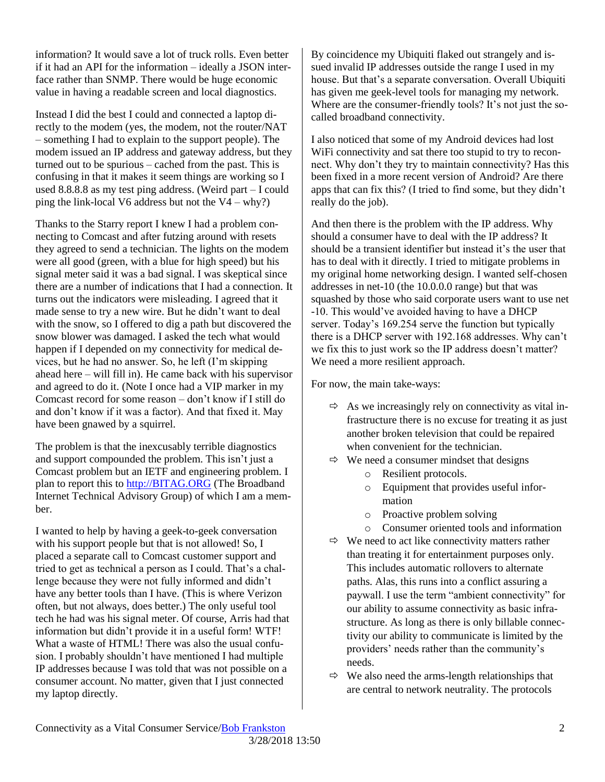information? It would save a lot of truck rolls. Even better if it had an API for the information – ideally a JSON interface rather than SNMP. There would be huge economic value in having a readable screen and local diagnostics.

Instead I did the best I could and connected a laptop directly to the modem (yes, the modem, not the router/NAT – something I had to explain to the support people). The modem issued an IP address and gateway address, but they turned out to be spurious – cached from the past. This is confusing in that it makes it seem things are working so I used 8.8.8.8 as my test ping address. (Weird part – I could ping the link-local V6 address but not the  $V4 - why$ ?)

Thanks to the Starry report I knew I had a problem connecting to Comcast and after futzing around with resets they agreed to send a technician. The lights on the modem were all good (green, with a blue for high speed) but his signal meter said it was a bad signal. I was skeptical since there are a number of indications that I had a connection. It turns out the indicators were misleading. I agreed that it made sense to try a new wire. But he didn't want to deal with the snow, so I offered to dig a path but discovered the snow blower was damaged. I asked the tech what would happen if I depended on my connectivity for medical devices, but he had no answer. So, he left (I'm skipping ahead here – will fill in). He came back with his supervisor and agreed to do it. (Note I once had a VIP marker in my Comcast record for some reason – don't know if I still do and don't know if it was a factor). And that fixed it. May have been gnawed by a squirrel.

The problem is that the inexcusably terrible diagnostics and support compounded the problem. This isn't just a Comcast problem but an IETF and engineering problem. I plan to report this to [http://BITAG.ORG](http://bitag.org/) (The Broadband Internet Technical Advisory Group) of which I am a member.

I wanted to help by having a geek-to-geek conversation with his support people but that is not allowed! So, I placed a separate call to Comcast customer support and tried to get as technical a person as I could. That's a challenge because they were not fully informed and didn't have any better tools than I have. (This is where Verizon often, but not always, does better.) The only useful tool tech he had was his signal meter. Of course, Arris had that information but didn't provide it in a useful form! WTF! What a waste of HTML! There was also the usual confusion. I probably shouldn't have mentioned I had multiple IP addresses because I was told that was not possible on a consumer account. No matter, given that I just connected my laptop directly.

By coincidence my Ubiquiti flaked out strangely and issued invalid IP addresses outside the range I used in my house. But that's a separate conversation. Overall Ubiquiti has given me geek-level tools for managing my network. Where are the consumer-friendly tools? It's not just the socalled broadband connectivity.

I also noticed that some of my Android devices had lost WiFi connectivity and sat there too stupid to try to reconnect. Why don't they try to maintain connectivity? Has this been fixed in a more recent version of Android? Are there apps that can fix this? (I tried to find some, but they didn't really do the job).

And then there is the problem with the IP address. Why should a consumer have to deal with the IP address? It should be a transient identifier but instead it's the user that has to deal with it directly. I tried to mitigate problems in my original home networking design. I wanted self-chosen addresses in net-10 (the 10.0.0.0 range) but that was squashed by those who said corporate users want to use net -10. This would've avoided having to have a DHCP server. Today's 169.254 serve the function but typically there is a DHCP server with 192.168 addresses. Why can't we fix this to just work so the IP address doesn't matter? We need a more resilient approach.

For now, the main take-ways:

- $\Rightarrow$  As we increasingly rely on connectivity as vital infrastructure there is no excuse for treating it as just another broken television that could be repaired when convenient for the technician.
- $\Rightarrow$  We need a consumer mindset that designs
	- o Resilient protocols.
	- o Equipment that provides useful information
	- o Proactive problem solving
	- o Consumer oriented tools and information
- $\Rightarrow$  We need to act like connectivity matters rather than treating it for entertainment purposes only. This includes automatic rollovers to alternate paths. Alas, this runs into a conflict assuring a paywall. I use the term "ambient connectivity" for our ability to assume connectivity as basic infrastructure. As long as there is only billable connectivity our ability to communicate is limited by the providers' needs rather than the community's needs.
- $\Leftrightarrow$  We also need the arms-length relationships that are central to network neutrality. The protocols